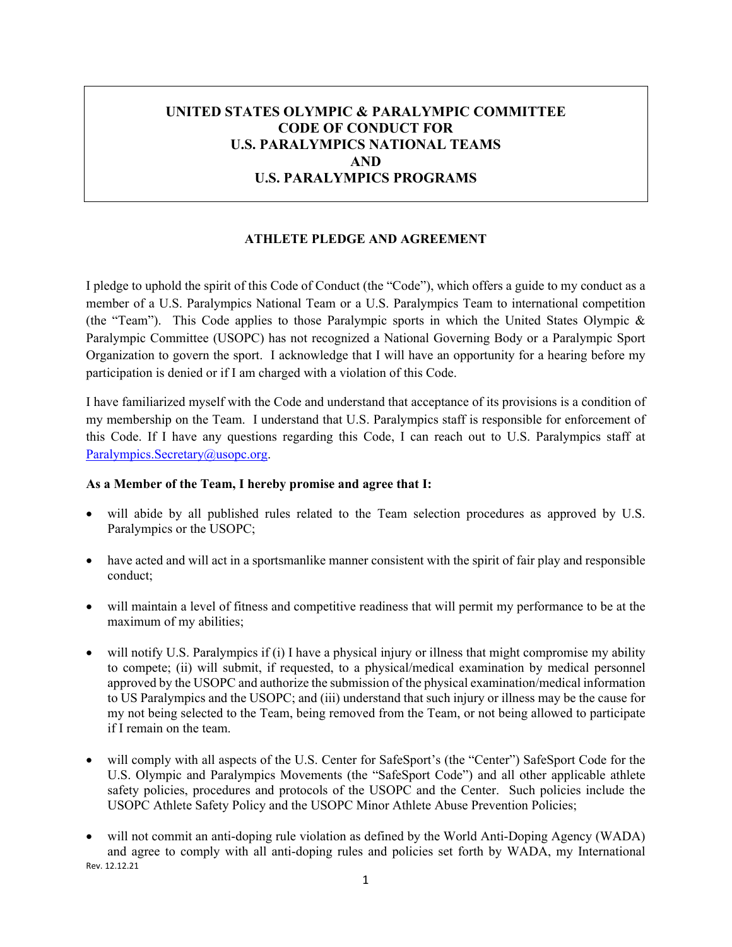# **UNITED STATES OLYMPIC & PARALYMPIC COMMITTEE CODE OF CONDUCT FOR U.S. PARALYMPICS NATIONAL TEAMS AND U.S. PARALYMPICS PROGRAMS**

### **ATHLETE PLEDGE AND AGREEMENT**

I pledge to uphold the spirit of this Code of Conduct (the "Code"), which offers a guide to my conduct as a member of a U.S. Paralympics National Team or a U.S. Paralympics Team to international competition (the "Team"). This Code applies to those Paralympic sports in which the United States Olympic & Paralympic Committee (USOPC) has not recognized a National Governing Body or a Paralympic Sport Organization to govern the sport. I acknowledge that I will have an opportunity for a hearing before my participation is denied or if I am charged with a violation of this Code.

I have familiarized myself with the Code and understand that acceptance of its provisions is a condition of my membership on the Team. I understand that U.S. Paralympics staff is responsible for enforcement of this Code. If I have any questions regarding this Code, I can reach out to U.S. Paralympics staff at [Paralympics.Secretary@usopc.org.](mailto:Paralympics.Secretary@usopc.org)

#### **As a Member of the Team, I hereby promise and agree that I:**

- will abide by all published rules related to the Team selection procedures as approved by U.S. Paralympics or the USOPC;
- have acted and will act in a sportsmanlike manner consistent with the spirit of fair play and responsible conduct;
- will maintain a level of fitness and competitive readiness that will permit my performance to be at the maximum of my abilities;
- will notify U.S. Paralympics if (i) I have a physical injury or illness that might compromise my ability to compete; (ii) will submit, if requested, to a physical/medical examination by medical personnel approved by the USOPC and authorize the submission of the physical examination/medical information to US Paralympics and the USOPC; and (iii) understand that such injury or illness may be the cause for my not being selected to the Team, being removed from the Team, or not being allowed to participate if I remain on the team.
- will comply with all aspects of the U.S. Center for SafeSport's (the "Center") SafeSport Code for the U.S. Olympic and Paralympics Movements (the "SafeSport Code") and all other applicable athlete safety policies, procedures and protocols of the USOPC and the Center. Such policies include the USOPC Athlete Safety Policy and the USOPC Minor Athlete Abuse Prevention Policies;
- Rev. 12.12.21 • will not commit an anti-doping rule violation as defined by the World Anti-Doping Agency (WADA) and agree to comply with all anti-doping rules and policies set forth by WADA, my International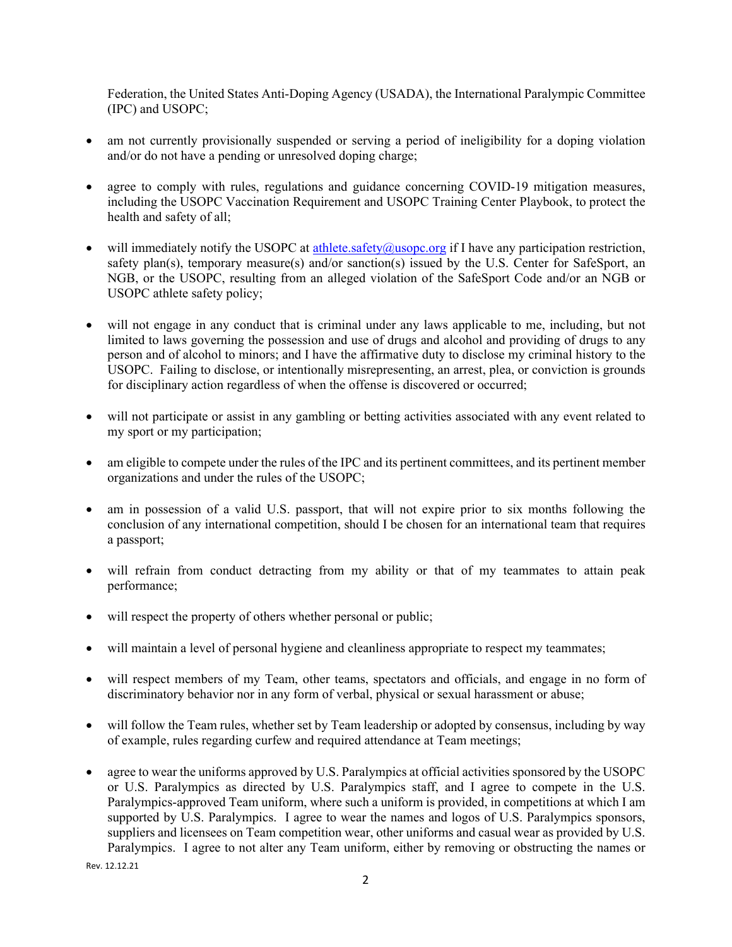Federation, the United States Anti-Doping Agency (USADA), the International Paralympic Committee (IPC) and USOPC;

- am not currently provisionally suspended or serving a period of ineligibility for a doping violation and/or do not have a pending or unresolved doping charge;
- agree to comply with rules, regulations and guidance concerning COVID-19 mitigation measures, including the USOPC Vaccination Requirement and USOPC Training Center Playbook, to protect the health and safety of all;
- will immediately notify the USOPC at [athlete.safety@usopc.org](mailto:athlete.safety@usopc.org) if I have any participation restriction, safety plan(s), temporary measure(s) and/or sanction(s) issued by the U.S. Center for SafeSport, an NGB, or the USOPC, resulting from an alleged violation of the SafeSport Code and/or an NGB or USOPC athlete safety policy;
- will not engage in any conduct that is criminal under any laws applicable to me, including, but not limited to laws governing the possession and use of drugs and alcohol and providing of drugs to any person and of alcohol to minors; and I have the affirmative duty to disclose my criminal history to the USOPC. Failing to disclose, or intentionally misrepresenting, an arrest, plea, or conviction is grounds for disciplinary action regardless of when the offense is discovered or occurred;
- will not participate or assist in any gambling or betting activities associated with any event related to my sport or my participation;
- am eligible to compete under the rules of the IPC and its pertinent committees, and its pertinent member organizations and under the rules of the USOPC;
- am in possession of a valid U.S. passport, that will not expire prior to six months following the conclusion of any international competition, should I be chosen for an international team that requires a passport;
- will refrain from conduct detracting from my ability or that of my teammates to attain peak performance;
- will respect the property of others whether personal or public;
- will maintain a level of personal hygiene and cleanliness appropriate to respect my teammates;
- will respect members of my Team, other teams, spectators and officials, and engage in no form of discriminatory behavior nor in any form of verbal, physical or sexual harassment or abuse;
- will follow the Team rules, whether set by Team leadership or adopted by consensus, including by way of example, rules regarding curfew and required attendance at Team meetings;
- agree to wear the uniforms approved by U.S. Paralympics at official activities sponsored by the USOPC or U.S. Paralympics as directed by U.S. Paralympics staff, and I agree to compete in the U.S. Paralympics-approved Team uniform, where such a uniform is provided, in competitions at which I am supported by U.S. Paralympics. I agree to wear the names and logos of U.S. Paralympics sponsors, suppliers and licensees on Team competition wear, other uniforms and casual wear as provided by U.S. Paralympics. I agree to not alter any Team uniform, either by removing or obstructing the names or

Rev. 12.12.21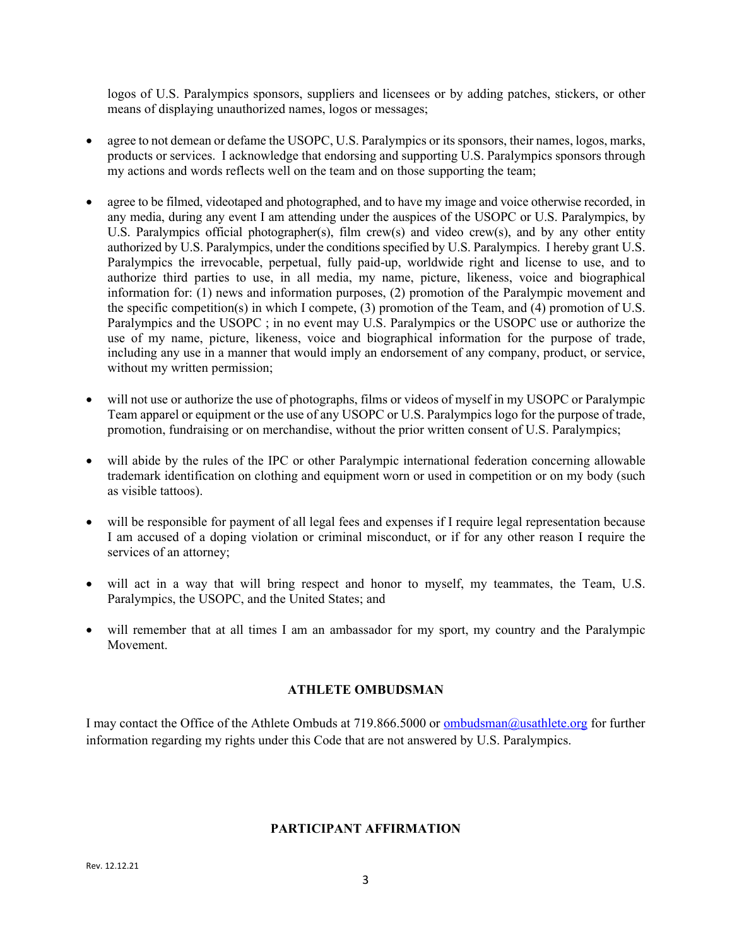logos of U.S. Paralympics sponsors, suppliers and licensees or by adding patches, stickers, or other means of displaying unauthorized names, logos or messages;

- agree to not demean or defame the USOPC, U.S. Paralympics or its sponsors, their names, logos, marks, products or services. I acknowledge that endorsing and supporting U.S. Paralympics sponsors through my actions and words reflects well on the team and on those supporting the team;
- agree to be filmed, videotaped and photographed, and to have my image and voice otherwise recorded, in any media, during any event I am attending under the auspices of the USOPC or U.S. Paralympics, by U.S. Paralympics official photographer(s), film crew(s) and video crew(s), and by any other entity authorized by U.S. Paralympics, under the conditions specified by U.S. Paralympics. I hereby grant U.S. Paralympics the irrevocable, perpetual, fully paid-up, worldwide right and license to use, and to authorize third parties to use, in all media, my name, picture, likeness, voice and biographical information for: (1) news and information purposes, (2) promotion of the Paralympic movement and the specific competition(s) in which I compete, (3) promotion of the Team, and (4) promotion of U.S. Paralympics and the USOPC ; in no event may U.S. Paralympics or the USOPC use or authorize the use of my name, picture, likeness, voice and biographical information for the purpose of trade, including any use in a manner that would imply an endorsement of any company, product, or service, without my written permission;
- will not use or authorize the use of photographs, films or videos of myself in my USOPC or Paralympic Team apparel or equipment or the use of any USOPC or U.S. Paralympics logo for the purpose of trade, promotion, fundraising or on merchandise, without the prior written consent of U.S. Paralympics;
- will abide by the rules of the IPC or other Paralympic international federation concerning allowable trademark identification on clothing and equipment worn or used in competition or on my body (such as visible tattoos).
- will be responsible for payment of all legal fees and expenses if I require legal representation because I am accused of a doping violation or criminal misconduct, or if for any other reason I require the services of an attorney;
- will act in a way that will bring respect and honor to myself, my teammates, the Team, U.S. Paralympics, the USOPC, and the United States; and
- will remember that at all times I am an ambassador for my sport, my country and the Paralympic Movement.

#### **ATHLETE OMBUDSMAN**

I may contact the Office of the Athlete Ombuds at 719.866.5000 or **ombudsman@usathlete.org** for further information regarding my rights under this Code that are not answered by U.S. Paralympics.

### **PARTICIPANT AFFIRMATION**